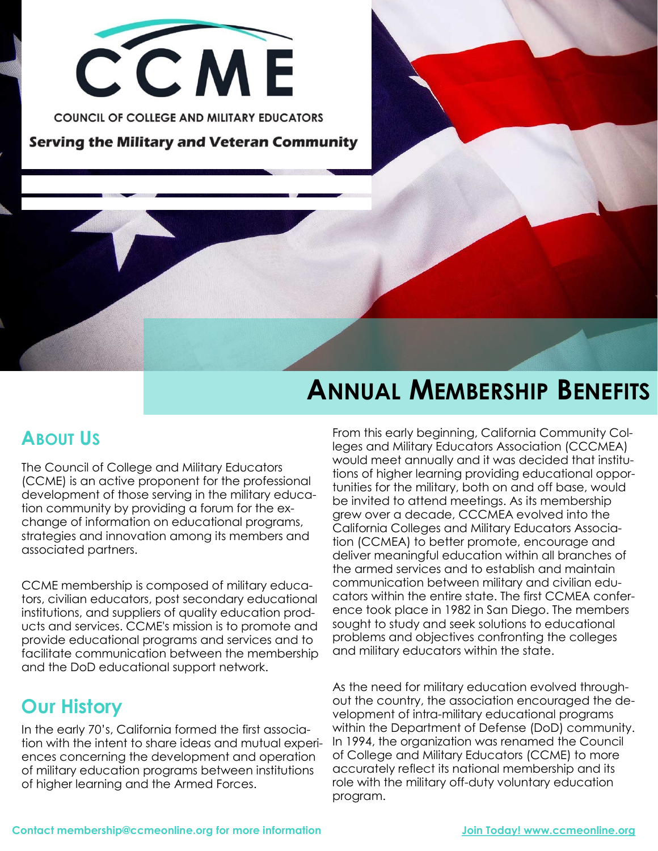

**Serving the Military and Veteran Community** 

# **ANNUAL MEMBERSHIP BENEFITS**

### **ABOUT US**

The Council of College and Military Educators (CCME) is an active proponent for the professional development of those serving in the military education community by providing a forum for the exchange of information on educational programs, strategies and innovation among its members and associated partners.

CCME membership is composed of military educators, civilian educators, post secondary educational institutions, and suppliers of quality education products and services. CCME's mission is to promote and provide educational programs and services and to facilitate communication between the membership and the DoD educational support network.

### **Our History**

In the early 70's, California formed the first association with the intent to share ideas and mutual experiences concerning the development and operation of military education programs between institutions of higher learning and the Armed Forces.

From this early beginning, California Community Colleges and Military Educators Association (CCCMEA) would meet annually and it was decided that institutions of higher learning providing educational opportunities for the military, both on and off base, would be invited to attend meetings. As its membership grew over a decade, CCCMEA evolved into the California Colleges and Military Educators Association (CCMEA) to better promote, encourage and deliver meaningful education within all branches of the armed services and to establish and maintain communication between military and civilian educators within the entire state. The first CCMEA conference took place in 1982 in San Diego. The members sought to study and seek solutions to educational problems and objectives confronting the colleges and military educators within the state.

As the need for military education evolved throughout the country, the association encouraged the development of intra-military educational programs within the Department of Defense (DoD) community. In 1994, the organization was renamed the Council of College and Military Educators (CCME) to more accurately reflect its national membership and its role with the military off-duty voluntary education program.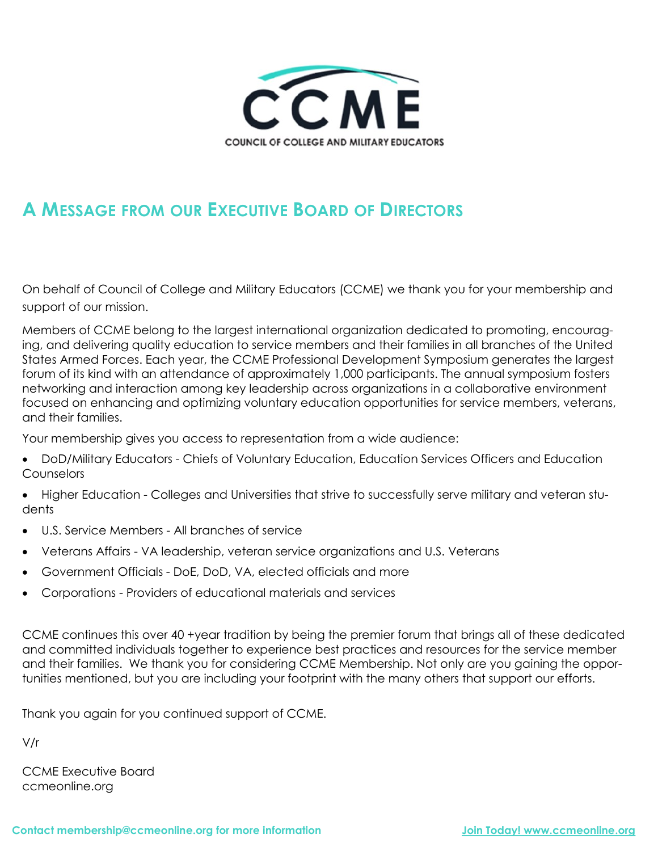

### **A MESSAGE FROM OUR EXECUTIVE BOARD OF DIRECTORS**

On behalf of Council of College and Military Educators (CCME) we thank you for your membership and support of our mission.

Members of CCME belong to the largest international organization dedicated to promoting, encouraging, and delivering quality education to service members and their families in all branches of the United States Armed Forces. Each year, the CCME Professional Development Symposium generates the largest forum of its kind with an attendance of approximately 1,000 participants. The annual symposium fosters networking and interaction among key leadership across organizations in a collaborative environment focused on enhancing and optimizing voluntary education opportunities for service members, veterans, and their families.

Your membership gives you access to representation from a wide audience:

- DoD/Military Educators Chiefs of Voluntary Education, Education Services Officers and Education **Counselors**
- Higher Education Colleges and Universities that strive to successfully serve military and veteran students
- U.S. Service Members All branches of service
- Veterans Affairs VA leadership, veteran service organizations and U.S. Veterans
- Government Officials DoE, DoD, VA, elected officials and more
- Corporations Providers of educational materials and services

CCME continues this over 40 +year tradition by being the premier forum that brings all of these dedicated and committed individuals together to experience best practices and resources for the service member and their families. We thank you for considering CCME Membership. Not only are you gaining the opportunities mentioned, but you are including your footprint with the many others that support our efforts.

Thank you again for you continued support of CCME.

V/r

CCME Executive Board ccmeonline.org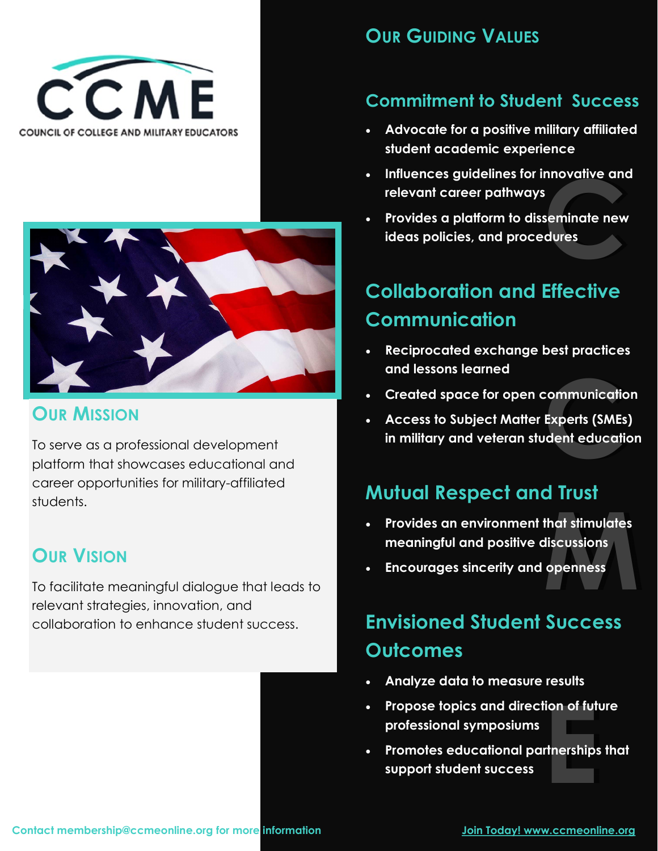



### **OUR MISSION**

To serve as a professional development platform that showcases educational and career opportunities for military-affiliated students.

### **OUR VISION**

To facilitate meaningful dialogue that leads to relevant strategies, innovation, and collaboration to enhance student success.

#### **OUR GUIDING VALUES**

#### **Commitment to Student Success**

- **Advocate for a positive military affiliated student academic experience**
- **Influences guidelines for innovative and relevant career pathways**
- nnovative and<br>seminate new<br>dures<br>compositions • **Provides a platform to disseminate new ideas policies, and procedures**

## **Collaboration and Effective Communication**

- **Reciprocated exchange best practices and lessons learned**
- **Created space for open communication**
- communicatio<br>Experts (SMEs<br><sub>J</sub>dent educati • **Access to Subject Matter Experts (SMEs) in military and veteran student education**

### **Mutual Respect and Trust**

- **that stimulates<br>discussions<br>openness** • **Provides an environment that stimulates meaningful and positive discussions**
- **Encourages sincerity and openness**

## **Envisioned Student Success Outcomes**

- **Analyze data to measure results**
- Propose topics and direction of future<br>
professional symposiums<br>
 Promotes educational partnerships the<br>
support student success **professional symposiums**
- **Promotes educational partnerships that support student success**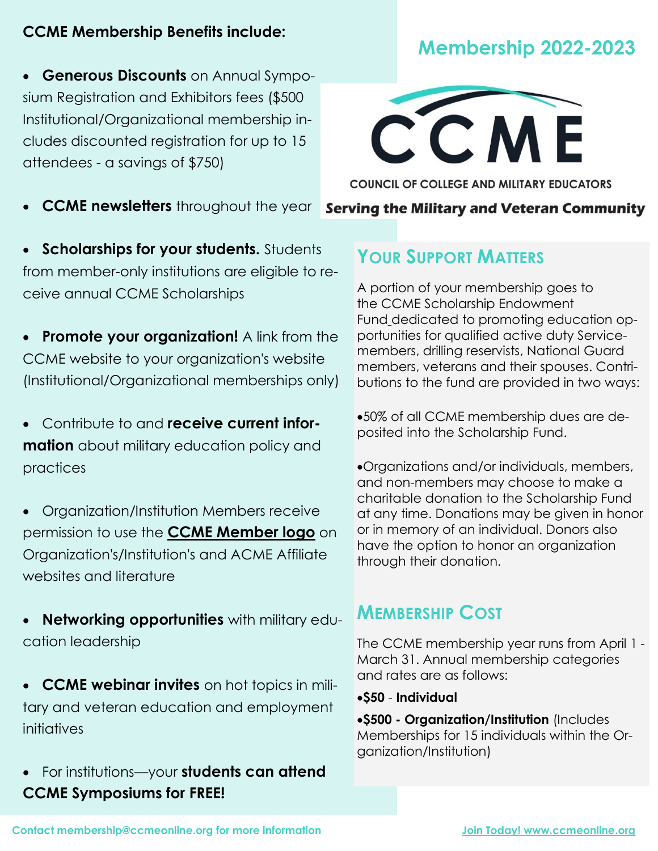#### **CCME Membership Benefits include:**

• **Generous Discounts** on Annual Symposium Registration and Exhibitors fees (\$500 Institutional/Organizational membership includes discounted registration for up to 15 attendees - a savings of \$750)

• **CCME newsletters** throughout the year

• **Scholarships for your students.** Students from member-only institutions are eligible to receive annual CCME Scholarships

• **Promote your organization!** A link from the CCME website to your organization's website (Institutional/Organizational memberships only)

• Contribute to and **receive current information** about military education policy and practices

• Organization/Institution Members receive permission to use the **[CCME Member logo](https://www.ccmeonline.org/copy-of-support-ccme)** on Organization's/Institution's and ACME Affiliate websites and literature

• **Networking opportunities** with military education leadership

• **CCME webinar invites** on hot topics in military and veteran education and employment initiatives

• For institutions—your **students can attend CCME Symposiums for FREE!**



**COUNCIL OF COLLEGE AND MILITARY EDUCATORS** 

**Serving the Military and Veteran Community** 

### **YOUR SUPPORT MATTERS**

A portion of your membership goes to the CCME Scholarship Endowment Fund [de](https://ce7bd8b9-b5a5-473a-9417-35cc12ba4394.filesusr.com/ugd/b71506_97a9ee4cbc384390b4e598b1d7f41094.pdf)dicated to promoting education opportunities for qualified active duty Servicemembers, drilling reservists, National Guard members, veterans and their spouses. Contributions to the fund are provided in two ways:

•50% of all CCME membership dues are deposited into the Scholarship Fund.

•Organizations and/or individuals, members, and non-members may choose to make a charitable donation to the Scholarship Fund at any time. Donations may be given in honor or in memory of an individual. Donors also have the option to honor an organization through their donation.

#### **MEMBERSHIP COST**

The CCME membership year runs from April 1 - March 31. Annual membership categories and rates are as follows:

•**\$50** - **Individual**

•**\$500 - Organization/Institution** (Includes Memberships for 15 individuals within the Organization/Institution)

## **Membership 2022-2023**